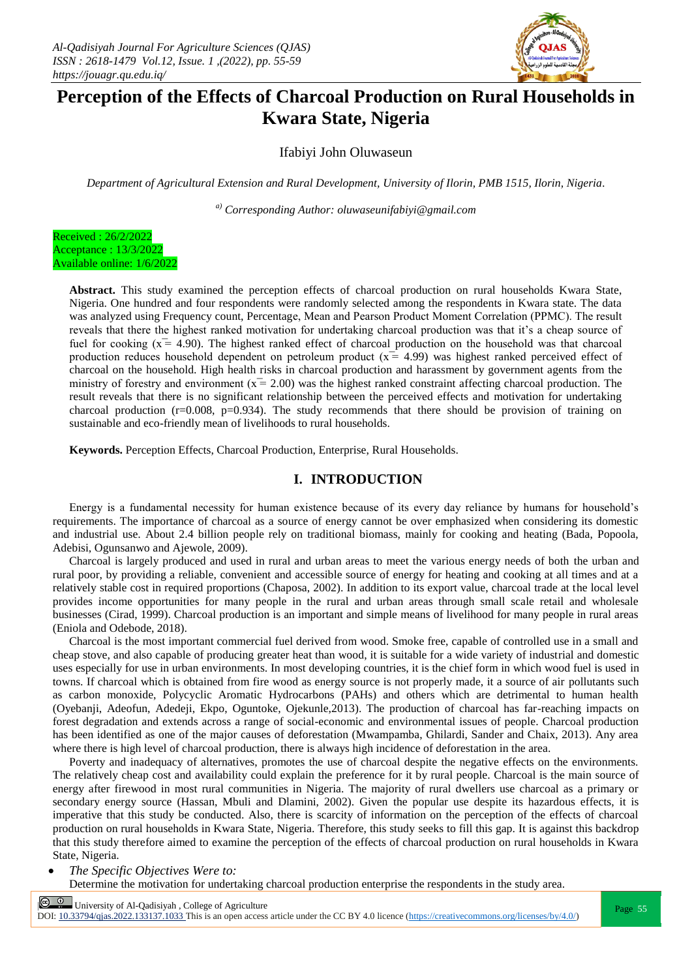

# **Perception of the Effects of Charcoal Production on Rural Households in Kwara State, Nigeria**

Ifabiyi John Oluwaseun

*Department of Agricultural Extension and Rural Development, University of Ilorin, PMB 1515, Ilorin, Nigeria.*

*a) Corresponding Author: oluwaseunifabiyi@gmail.com*



**Abstract.** This study examined the perception effects of charcoal production on rural households Kwara State, Nigeria. One hundred and four respondents were randomly selected among the respondents in Kwara state. The data was analyzed using Frequency count, Percentage, Mean and Pearson Product Moment Correlation (PPMC). The result reveals that there the highest ranked motivation for undertaking charcoal production was that it's a cheap source of fuel for cooking  $(x = 4.90)$ . The highest ranked effect of charcoal production on the household was that charcoal production reduces household dependent on petroleum product  $(x = 4.99)$  was highest ranked perceived effect of charcoal on the household. High health risks in charcoal production and harassment by government agents from the ministry of forestry and environment  $(x = 2.00)$  was the highest ranked constraint affecting charcoal production. The result reveals that there is no significant relationship between the perceived effects and motivation for undertaking charcoal production ( $r=0.008$ ,  $p=0.934$ ). The study recommends that there should be provision of training on sustainable and eco-friendly mean of livelihoods to rural households.

**Keywords.** Perception Effects, Charcoal Production, Enterprise, Rural Households.

#### **I. INTRODUCTION**

Energy is a fundamental necessity for human existence because of its every day reliance by humans for household's requirements. The importance of charcoal as a source of energy cannot be over emphasized when considering its domestic and industrial use. About 2.4 billion people rely on traditional biomass, mainly for cooking and heating (Bada, Popoola, Adebisi, Ogunsanwo and Ajewole, 2009).

Charcoal is largely produced and used in rural and urban areas to meet the various energy needs of both the urban and rural poor, by providing a reliable, convenient and accessible source of energy for heating and cooking at all times and at a relatively stable cost in required proportions (Chaposa, 2002). In addition to its export value, charcoal trade at the local level provides income opportunities for many people in the rural and urban areas through small scale retail and wholesale businesses (Cirad, 1999). Charcoal production is an important and simple means of livelihood for many people in rural areas (Eniola and Odebode, 2018).

Charcoal is the most important commercial fuel derived from wood. Smoke free, capable of controlled use in a small and cheap stove, and also capable of producing greater heat than wood, it is suitable for a wide variety of industrial and domestic uses especially for use in urban environments. In most developing countries, it is the chief form in which wood fuel is used in towns. If charcoal which is obtained from fire wood as energy source is not properly made, it a source of air pollutants such as carbon monoxide, Polycyclic Aromatic Hydrocarbons (PAHs) and others which are detrimental to human health (Oyebanji, Adeofun, Adedeji, Ekpo, Oguntoke, Ojekunle,2013). The production of charcoal has far-reaching impacts on forest degradation and extends across a range of social-economic and environmental issues of people. Charcoal production has been identified as one of the major causes of deforestation (Mwampamba, Ghilardi, Sander and Chaix, 2013). Any area where there is high level of charcoal production, there is always high incidence of deforestation in the area.

Poverty and inadequacy of alternatives, promotes the use of charcoal despite the negative effects on the environments. The relatively cheap cost and availability could explain the preference for it by rural people. Charcoal is the main source of energy after firewood in most rural communities in Nigeria. The majority of rural dwellers use charcoal as a primary or secondary energy source (Hassan, Mbuli and Dlamini, 2002). Given the popular use despite its hazardous effects, it is imperative that this study be conducted. Also, there is scarcity of information on the perception of the effects of charcoal production on rural households in Kwara State, Nigeria. Therefore, this study seeks to fill this gap. It is against this backdrop that this study therefore aimed to examine the perception of the effects of charcoal production on rural households in Kwara State, Nigeria.

*The Specific Objectives Were to:* 

Determine the motivation for undertaking charcoal production enterprise the respondents in the study area.

 $\frac{60}{200}$  University of Al-Qadisiyah, College of Agriculture<br>  $\frac{60}{200}$  University of Al-Qadisiyah, College of Agriculture

DOI:  $10.33794$ /qjas.2022.133137.1033 This is an open access article under the CC BY 4.0 licence (https://creativecommons.org/licenses/by/4.0/)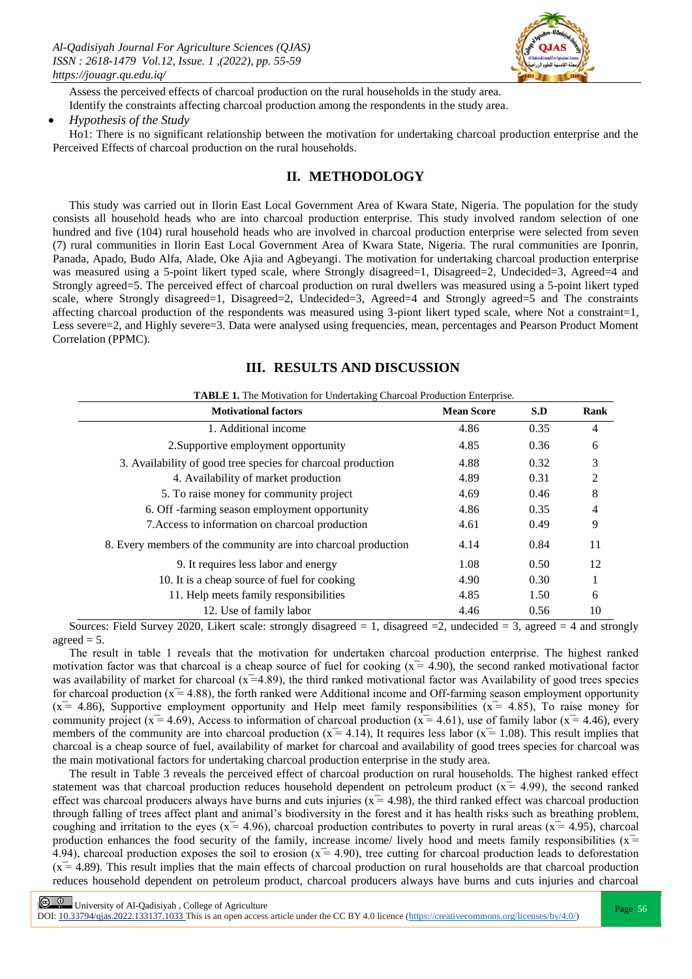

Assess the perceived effects of charcoal production on the rural households in the study area. Identify the constraints affecting charcoal production among the respondents in the study area.

#### *Hypothesis of the Study*

Ho1: There is no significant relationship between the motivation for undertaking charcoal production enterprise and the Perceived Effects of charcoal production on the rural households.

# **II. METHODOLOGY**

This study was carried out in Ilorin East Local Government Area of Kwara State, Nigeria. The population for the study consists all household heads who are into charcoal production enterprise. This study involved random selection of one hundred and five (104) rural household heads who are involved in charcoal production enterprise were selected from seven (7) rural communities in Ilorin East Local Government Area of Kwara State, Nigeria. The rural communities are Iponrin, Panada, Apado, Budo Alfa, Alade, Oke Ajia and Agbeyangi. The motivation for undertaking charcoal production enterprise was measured using a 5-point likert typed scale, where Strongly disagreed=1, Disagreed=2, Undecided=3, Agreed=4 and Strongly agreed=5. The perceived effect of charcoal production on rural dwellers was measured using a 5-point likert typed scale, where Strongly disagreed=1, Disagreed=2, Undecided=3, Agreed=4 and Strongly agreed=5 and The constraints affecting charcoal production of the respondents was measured using 3-piont likert typed scale, where Not a constraint=1, Less severe=2, and Highly severe=3. Data were analysed using frequencies, mean, percentages and Pearson Product Moment Correlation (PPMC).

# **III. RESULTS AND DISCUSSION**

| <b>Motivational factors</b>                                    | <b>Mean Score</b> | S.D  | Rank |
|----------------------------------------------------------------|-------------------|------|------|
| 1. Additional income                                           | 4.86              | 0.35 | 4    |
| 2. Supportive employment opportunity                           | 4.85              | 0.36 | 6    |
| 3. Availability of good tree species for charcoal production   | 4.88              | 0.32 | 3    |
| 4. Availability of market production                           | 4.89              | 0.31 | 2    |
| 5. To raise money for community project                        | 4.69              | 0.46 | 8    |
| 6. Off -farming season employment opportunity                  | 4.86              | 0.35 | 4    |
| 7. Access to information on charcoal production                | 4.61              | 0.49 | 9    |
| 8. Every members of the community are into charcoal production | 4.14              | 0.84 | 11   |
| 9. It requires less labor and energy                           | 1.08              | 0.50 | 12   |
| 10. It is a cheap source of fuel for cooking                   | 4.90              | 0.30 |      |
| 11. Help meets family responsibilities                         | 4.85              | 1.50 | 6    |
| 12. Use of family labor                                        | 4.46              | 0.56 | 10   |

Sources: Field Survey 2020, Likert scale: strongly disagreed = 1, disagreed = 2, undecided = 3, agreed = 4 and strongly agreed  $= 5$ .

The result in table 1 reveals that the motivation for undertaken charcoal production enterprise. The highest ranked motivation factor was that charcoal is a cheap source of fuel for cooking  $(x = 4.90)$ , the second ranked motivational factor was availability of market for charcoal ( $x=4.89$ ), the third ranked motivational factor was Availability of good trees species for charcoal production ( $x = 4.88$ ), the forth ranked were Additional income and Off-farming season employment opportunity  $(\bar{x} = 4.86)$ , Supportive employment opportunity and Help meet family responsibilities  $(\bar{x} = 4.85)$ , To raise money for community project ( $x = 4.69$ ), Access to information of charcoal production ( $x = 4.61$ ), use of family labor ( $x = 4.46$ ), every members of the community are into charcoal production ( $x = 4.14$ ), It requires less labor ( $x = 1.08$ ). This result implies that charcoal is a cheap source of fuel, availability of market for charcoal and availability of good trees species for charcoal was the main motivational factors for undertaking charcoal production enterprise in the study area.

The result in Table 3 reveals the perceived effect of charcoal production on rural households. The highest ranked effect statement was that charcoal production reduces household dependent on petroleum product  $(x = 4.99)$ , the second ranked effect was charcoal producers always have burns and cuts injuries ( $x = 4.98$ ), the third ranked effect was charcoal production through falling of trees affect plant and animal's biodiversity in the forest and it has health risks such as breathing problem, coughing and irritation to the eyes ( $x = 4.96$ ), charcoal production contributes to poverty in rural areas ( $x = 4.95$ ), charcoal production enhances the food security of the family, increase income/ lively hood and meets family responsibilities  $(x =$ 4.94), charcoal production exposes the soil to erosion ( $x = 4.90$ ), tree cutting for charcoal production leads to deforestation  $(x = 4.89)$ . This result implies that the main effects of charcoal production on rural households are that charcoal production reduces household dependent on petroleum product, charcoal producers always have burns and cuts injuries and charcoal

**Page 56** University of Al-Qadisiyah, College of Agriculture Page 56

DOI:  $10.33794/q$ jas.2022.133137.1033 This is an open access article under the CC BY 4.0 licence (https://creativecommons.org/licenses/by/4.0/)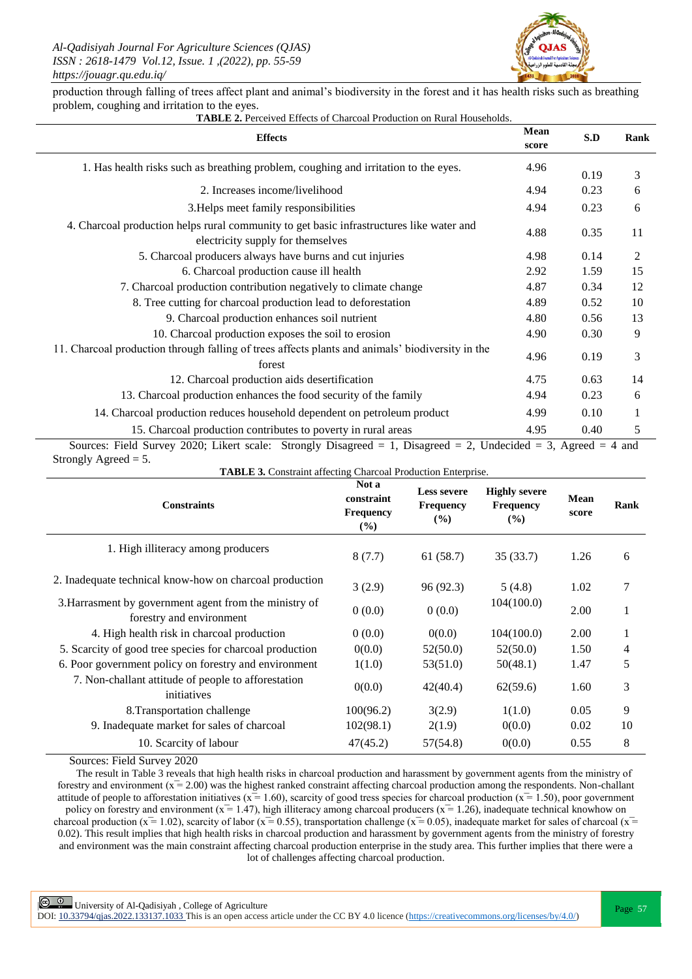

production through falling of trees affect plant and animal's biodiversity in the forest and it has health risks such as breathing problem, coughing and irritation to the eyes.

| <b>TABLE 2.</b> Perceived Effects of Charcoal Production on Rural Households. |  |
|-------------------------------------------------------------------------------|--|
|-------------------------------------------------------------------------------|--|

| <b>Effects</b>                                                                                                                | Mean<br>score | S.D  | Rank |
|-------------------------------------------------------------------------------------------------------------------------------|---------------|------|------|
| 1. Has health risks such as breathing problem, coughing and irritation to the eyes.                                           | 4.96          | 0.19 | 3    |
| 2. Increases income/livelihood                                                                                                | 4.94          | 0.23 | 6    |
| 3. Helps meet family responsibilities                                                                                         | 4.94          | 0.23 | 6    |
| 4. Charcoal production helps rural community to get basic infrastructures like water and<br>electricity supply for themselves | 4.88          | 0.35 | 11   |
| 5. Charcoal producers always have burns and cut injuries                                                                      | 4.98          | 0.14 | 2    |
| 6. Charcoal production cause ill health                                                                                       | 2.92          | 1.59 | 15   |
| 7. Charcoal production contribution negatively to climate change                                                              | 4.87          | 0.34 | 12   |
| 8. Tree cutting for charcoal production lead to deforestation                                                                 | 4.89          | 0.52 | 10   |
| 9. Charcoal production enhances soil nutrient                                                                                 | 4.80          | 0.56 | 13   |
| 10. Charcoal production exposes the soil to erosion                                                                           | 4.90          | 0.30 | 9    |
| 11. Charcoal production through falling of trees affects plants and animals' biodiversity in the<br>forest                    | 4.96          | 0.19 | 3    |
| 12. Charcoal production aids desertification                                                                                  | 4.75          | 0.63 | 14   |
| 13. Charcoal production enhances the food security of the family                                                              | 4.94          | 0.23 | 6    |
| 14. Charcoal production reduces household dependent on petroleum product                                                      | 4.99          | 0.10 | 1    |
| 15. Charcoal production contributes to poverty in rural areas                                                                 | 4.95          | 0.40 | 5    |
| Sources: Field Survey 2020; Likert scale: Strongly Disagreed = 1, Disagreed = 2, Undecided = 3, Agreed = 4 and                |               |      |      |

Strongly Agreed  $= 5$ .

**TABLE 3.** Constraint affecting Charcoal Production Enterprise.

| Not a<br>constraint<br>Frequency<br>$(\%)$ | <b>Less severe</b><br><b>Frequency</b><br>(%) | <b>Highly severe</b><br><b>Frequency</b><br>(%) | Mean<br>score | Rank |
|--------------------------------------------|-----------------------------------------------|-------------------------------------------------|---------------|------|
| 8(7.7)                                     | 61 (58.7)                                     | 35(33.7)                                        | 1.26          | 6    |
| 3(2.9)                                     | 96 (92.3)                                     | 5(4.8)                                          | 1.02          | 7    |
| 0(0.0)                                     | 0(0.0)                                        | 104(100.0)                                      | 2.00          | 1    |
| 0(0.0)                                     | 0(0.0)                                        | 104(100.0)                                      | 2.00          | 1    |
| 0(0.0)                                     | 52(50.0)                                      | 52(50.0)                                        | 1.50          | 4    |
| 1(1.0)                                     | 53(51.0)                                      | 50(48.1)                                        | 1.47          | 5    |
| 0(0.0)                                     | 42(40.4)                                      | 62(59.6)                                        | 1.60          | 3    |
| 100(96.2)                                  | 3(2.9)                                        | 1(1.0)                                          | 0.05          | 9    |
| 102(98.1)                                  | 2(1.9)                                        | 0(0.0)                                          | 0.02          | 10   |
| 47(45.2)                                   | 57(54.8)                                      | 0(0.0)                                          | 0.55          | 8    |
|                                            |                                               |                                                 |               |      |

Sources: Field Survey 2020

The result in Table 3 reveals that high health risks in charcoal production and harassment by government agents from the ministry of forestry and environment ( $x = 2.00$ ) was the highest ranked constraint affecting charcoal production among the respondents. Non-challant attitude of people to afforestation initiatives ( $x = 1.60$ ), scarcity of good tress species for charcoal production ( $x = 1.50$ ), poor government policy on forestry and environment ( $x = 1.47$ ), high illiteracy among charcoal producers ( $x = 1.26$ ), inadequate technical knowhow on charcoal production ( $x=1.02$ ), scarcity of labor ( $x=0.55$ ), transportation challenge ( $x=0.05$ ), inadequate market for sales of charcoal ( $x=$ 0.02). This result implies that high health risks in charcoal production and harassment by government agents from the ministry of forestry and environment was the main constraint affecting charcoal production enterprise in the study area. This further implies that there were a lot of challenges affecting charcoal production.

DOI:  $10.33794/q$ jas.2022.133137.1033 This is an open access article under the CC BY 4.0 licence (https://creativecommons.org/licenses/by/4.0/)